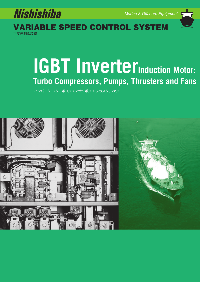

*Marine & Offshore Equipment*



可変速制御装置 VARIABLE SPEED CONTROL SYSTEM

# **IGBT Inverter**Induction Motor: **Turbo Compressors, Pumps, Thrusters and Fans**

インバーター/ターボコンプレッサ、ポンプ、スラスタ、ファン

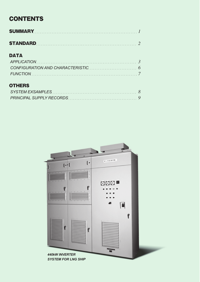# **CONTENTS**

| <b>STANDARD</b> 2 |  |
|-------------------|--|

# **DATA**

# **OTHERS**

| SYSTEM EXSAMPLES $\ldots \ldots \ldots \ldots \ldots \ldots \ldots \ldots \ldots \ldots \ldots \ldots \ldots$ |  |
|---------------------------------------------------------------------------------------------------------------|--|
|                                                                                                               |  |

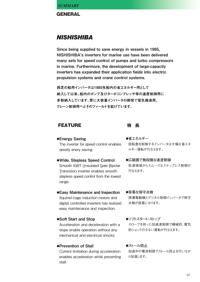**GENERAL** 

# **NISHISHIBA**

Since being supplied to save energy in vessels in 1985, NISHISHIBA's inverters for marine use have been delivered many sets for speed control of pumps and turbo compressors in marine. Furthermore, the development of large-capacity inverters has expanded their application fields into electric propulsion systems and crane control systems.

西芝の船用インバータは1985年船内の省エネルギー用として 納入して以来、船内のポンプ及びターボコンプレッサ等の速度制御用に 多数納入しています。更に大容量インバータの開発で電気推進用、 クレーン制御用へとそのフィールドを拡げています。

## **FEATURE インキャラ 特長**

## **●**Energy Saving

The inverter for speed control enables qreatly enery saving.

**●**Wide, Stepless Speed Control Smooth IGBT (Insulated Gate Bipolar Transistor) inverter enables smooth stepless speed control from the lowest range.

## **●**Easy Maintenance and Inspection

Squirrel-cage induction motors and digital controlled inverters has realized easy maintenance and inspection.

**●**Soft Start and Stop

Acceleration and deceleration with a slope enable operation without any mechanical and electrical shocks.

## **●**Prevention of Stall

Current limitation during acceleration enables acceleration while preventing stall.

- **●省エネルギー** 回転数を制御するインバータは大幅な省エネ ルギー運転が行なえます。
- **●広範囲で無段階な速度制御** 低速領域からスムースなステップレス制御が 行なえます。
- **●容易な保守点検** 誘導電動機とデジタル制御インバータで保守 点検が容易になります。
- **●ソフトスタート・ストップ** スロープを持った加減速制御で機械的、電気 的ショックの少ない運転が行なえます。
- **●ストール防止** 加速中の電流制限でストール防止を行いなが ら加速します。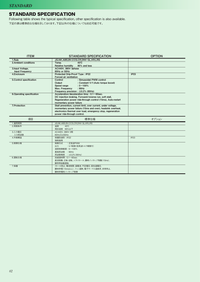## STANDARD SPECIFICATION

Following table shows the typical specification, other specification is also available. 下記の表は標準的な仕様を示しております。下記以外の仕様についても対応可能です。

| <b>ITEM</b>                | <b>STANDARD SPECIFICATION</b>                                                   | <b>OPTION</b>    |  |  |
|----------------------------|---------------------------------------------------------------------------------|------------------|--|--|
| 1.Rule                     | JG, NK, ABS, BV, CCS, CR, DNV GL, KR, LRS                                       |                  |  |  |
| 2. Ambient conditions      | $45^{\circ}$ C<br>Temp.                                                         |                  |  |  |
|                            | <b>Relative humidity</b><br>95% and less                                        |                  |  |  |
| 3.Input Voltage,           | AC440V, 380V 3phase                                                             |                  |  |  |
| <b>Input Frequency</b>     | 60Hz or 50Hz                                                                    |                  |  |  |
| 4.Enclosure                | Protected Drip-Proof Type: IP22                                                 | IP23             |  |  |
|                            | Forced air ventilation                                                          |                  |  |  |
| 5. Control specification   | Control<br>: Simusoidal PWM control                                             |                  |  |  |
|                            | Output<br>: Constant V/f (Auto torque boost)                                    |                  |  |  |
|                            | Speed range<br>$:5 \sim 100\%$                                                  |                  |  |  |
|                            | : 90Hz<br>Max. Frequency                                                        |                  |  |  |
| 6. Operating specification | Frequency precision: ±0.2% (90Hz)<br>Acceleration/decelaration time: 0.1~60sec. |                  |  |  |
|                            | DC injection braking. Forward/reverse run, soft stall.                          |                  |  |  |
|                            | Regeneration power ride-through control (15ms), Auto-restart                    |                  |  |  |
|                            | momentary power failure                                                         |                  |  |  |
| 7.Protection               | Stall prevention, current limit, over current, under voltage,                   |                  |  |  |
|                            | momentary power failure (15ms and over), heatsink overheat.                     |                  |  |  |
|                            | electronics thermal over load, emergency stop, regeneration                     |                  |  |  |
|                            | power ride-through control.                                                     |                  |  |  |
|                            |                                                                                 |                  |  |  |
|                            |                                                                                 |                  |  |  |
| 項目                         | 標準仕様                                                                            | オプション            |  |  |
| 1.適用規則                     | JG,NK,ABS,BV,CCS,CR,DNV GL,KR,LRS                                               |                  |  |  |
| 2.周囲条件                     | 温度<br>$45^{\circ}$ C                                                            |                  |  |  |
|                            | 相対湿度 95%以下                                                                      |                  |  |  |
| 3.入力電圧<br>入力周波数            | AC440V, 380V 3相<br>60Hz又は50Hz                                                   |                  |  |  |
| 4.外被構造                     | 保護防滴形: IP22                                                                     | IP <sub>23</sub> |  |  |
|                            | 強制通風                                                                            |                  |  |  |
| 5.制御仕様                     | 制御方式<br>: 正弦波PWM                                                                |                  |  |  |
|                            | 出力<br>: V/f制御(低周波トルク補償付)                                                        |                  |  |  |
|                            | 速度制御範囲: 5~100%                                                                  |                  |  |  |
|                            | 最高周波数 : 90Hz                                                                    |                  |  |  |
|                            | 周波数精度 : ±0.2% (90Hz)                                                            |                  |  |  |
| 6.運転仕様                     | 加減速時間: 0.1~60sec                                                                |                  |  |  |
|                            | 直流制動、正転・逆転、ソフトストール、瞬時ノンストップ制動(15ms)、                                            |                  |  |  |
|                            | 瞬停再始動運転                                                                         |                  |  |  |
| 7.保護                       | ストール防止、電流制限、過電流、不足電圧、回生過電圧、                                                     |                  |  |  |
|                            | 瞬時停電(15ms以上)、フィン過熱、電子サーマル過負荷、非常停止、<br>瞬時停電時ノンストップ制御                             |                  |  |  |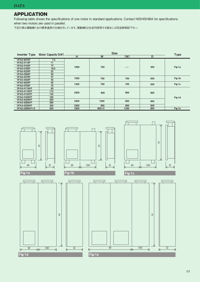## APPLICATION

Following table shows the specifications of one motor in standard applications. Contact NISHISHIBA for specifications when two motors are used in parallel.

下記の表は電動機1台の標準適用の仕様を示しています。電動機を2台並列使用する場合には別途御相談下さい。

| <b>Inverter Type</b> | <b>Size</b><br>Motor Capacity (kW) |      |       |      |     | <b>Type</b> |  |
|----------------------|------------------------------------|------|-------|------|-----|-------------|--|
|                      |                                    | н    | W     | (W)  | D   |             |  |
| <b>VFA5-4075P</b>    | 7.5                                |      |       |      |     |             |  |
| <b>VFA5-4110P</b>    | 11                                 | 1000 |       |      |     |             |  |
| <b>VFA5-4150P</b>    | 15                                 |      | 700   |      | 400 |             |  |
| <b>VFA5-4185P</b>    | 18.5                               |      |       |      |     | Fig-1a      |  |
| <b>VFA5-4220P</b>    | 22                                 |      |       |      |     |             |  |
| <b>VFA5-4300P</b>    | 30                                 |      |       |      |     |             |  |
| <b>VFA5-4370P</b>    | 37                                 | 1000 | 700   | 700  | 500 | Fig-1b      |  |
| <b>VFA5-4450P</b>    | 45                                 |      |       |      |     |             |  |
| <b>VFA5-4550P</b>    | 55                                 | 1300 | 700   | 700  |     | Fig-1c      |  |
| <b>VFA5-4750P</b>    | 75                                 |      |       |      | 500 |             |  |
| <b>VFA5-4110KP</b>   | 90                                 | 2300 |       |      |     |             |  |
| <b>VFA5-4110KP</b>   | 110                                |      | 800   | 800  | 600 |             |  |
| <b>VFA5-4132KP</b>   | 132                                |      |       |      |     |             |  |
| <b>VFA5-4160KP</b>   | 160                                |      |       |      |     | Fig-1d      |  |
| <b>VFA5-4220KP</b>   | 220                                | 2300 | 1000  | 800  | 600 |             |  |
| <b>VFA5-4280KP</b>   | 280                                |      |       |      |     |             |  |
| <b>VFA3-4330KP</b>   | 330                                | 2300 | 850   | 800  | 600 |             |  |
| <b>VFA5-4280KP×2</b> | 500                                | 2300 | 850×2 | 1200 | 800 | Fig-1e      |  |

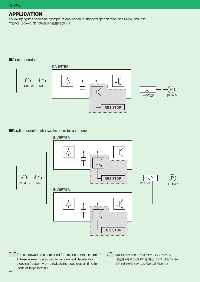## APPLICATION

Following figures shows an example of application in standerd specification on 500kW and less. 下記の図は500kW以下の標準仕様の適用例を示します。

### ■Single operation



■Parallel operation with two inverters for one motor



The shadowed areas are used for braking operation(option). (These elements are used to perform fast deceleration, stopping frequently or to reduce the deceleration time for loads of large inertia.)

印は抵抗回生制動を行う場合を示します。(オプション) (急減速や急停止を頻繁に行う場合、または、慣性の大きな 負荷で減速時間を短くしたい場合に使用します。)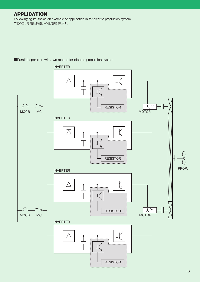## APPLICATION

Following figure shows an example of application in for electric propulsion system. 下記の図は電気推進装置への適用例を示します。



#### ■Parallel operation with two motors for electric propulsion system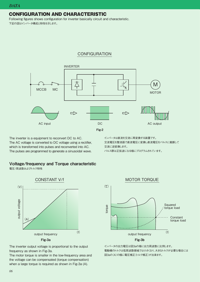## CONFIGURATION AND CHARACTERISTIC

Following figures shows configuration for inverter basically circuit and characteristic. 下記の図はインバータ構成と特性を示します。

## **CONFIGURATION**



The inverter is a equipment to reconvert DC to AC. The AC voltage is converted to DC voltage using a rectifier, which is transformed into pulses and reconverted into AC. The pulses are programmed to generate a sinusoidal wave.

#### インバータは直流を交流に再変換する装置です。 交流電圧を整流器で直流電圧に変換し直流電圧をパルスに裁断して 交流に逆変換します。 パルス群は正弦波になる様にプログラムされています。

## Voltage/frequency and Torque characteristic

電圧/周波数およびトルク特性



The inverter output voltage is proportional to the output frequency as shown in Fig-3a.

The motor torque is smaller in the low-frequency area and the voltage can be compensated (torque compensation) when a large torque is required as shown in Fig-3a (A).



インバータの出力電圧は図3aの様に出力周波数に比例します。 電動機のトルクは低周波数領域では小さくなり、大きなトルクが必要な場合には 図3aの(A)の様に電圧補正(トルク補正)が出来ます。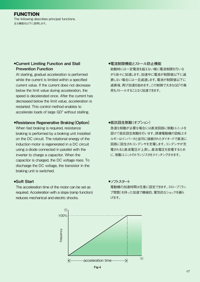## FUNCTION

The following describes principal functions. 主な機能を以下に説明します。

## **●**Current Limiting Function and Stall Prevention Function

At starting, gradual acceleration is performed while the current is limited within a specified current value. If the current does not decrease below the limit value during acceleration, the speed is decelerated once. After the current has decreased below the limit value, acceleration is restarted. This control method enables to accelerate loads of large  $\mathsf{GD}^2$  without stalling.

### **●**Resistance Regenerative Braking(Option)

When fast braking is required, resistance braking is performed by a braking unit installed on the DC circuit. The rotational energy of the induction motor is regenerated in a DC circuit using a diode connected in parallel with the inverter to charge a capacitor. When the capacitor is charged, the DC voltage rises. To discharge the DC voltage, the transistor in the braking unit is switched.

#### **●**Soft Start

The acceleration time of the motor can be set as required. Acceleration with a slope (ramp function) reduces mechanical and electric shocks.

#### **●電流制限機能とストール防止機能**

始動時には一定電流を越えない様に電流制限を行いな がら徐々に加速します。加速中に電流が制限値以下に減 衰しない場合には一旦減速します。電流が制限値以下に 減衰後、再び加速を始めます。この制御で大きなGD<sup>2</sup>の負 荷もストールすることなく加速できます。

**●抵抗回生制動(オプション)** 急速な制動が必要な場合には直流回路に制動ユニットを 設けて抵抗回生制動を行います。誘導電動機の回転エネ ルギーはインバータと並列に接続されたダイオードで直流に 回路に回生されコンデンサを充電します。コンデンサが充 電されると直流電圧が上昇し、直流電圧を放電するため に、制動ユニットのトランジスタをスイッチングさせます。

#### **●ソフトスタート**

電動機の加速時間は任意に設定できます。スロープ(ラン プ関数)を持った加速で機械的、電気的なショックを緩ら げます。



Fig-4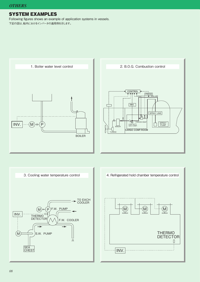## SYSTEM EXAMPLES

Following figures shows an example of application systems in vessels. 下記の図は、船内におけるインバータの適用例を示します。

2. B.O.G. Combustion control 1. Boiler water level control**CONTROL** PRESS<br>4 GAS LINE **INV.**  $\Box$ ┑ SPRAY LINE ▲ FORCED EBAP LOW DUTY GAS COMP. M  $INV.$   $\Box$   $(M)$   $\Box$   $(P)$ SPRAY PUMP BOILER **CARGO COMP.ROOM** TURBINE BOILER



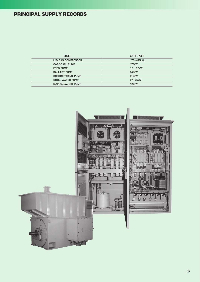# PRINCIPAL SUPPLY RECORDS

| <b>USE</b>                   | <b>OUT PUT</b> |
|------------------------------|----------------|
| L/D GAS COMPRESSOR           | $170 - 440$ kW |
| <b>CARGO OIL PUMP</b>        | 175kW          |
| <b>FEED PUMP</b>             | $1.5 - 2.2$ kW |
| <b>BALLAST PUMP</b>          | 345kW          |
| DREDGE TRANS, PUMP           | 315kW          |
| <b>COOL, WATER PUMP</b>      | $37\sim75$ kW  |
| <b>MAIN C.S.W. CIR. PUMP</b> | 123kW          |